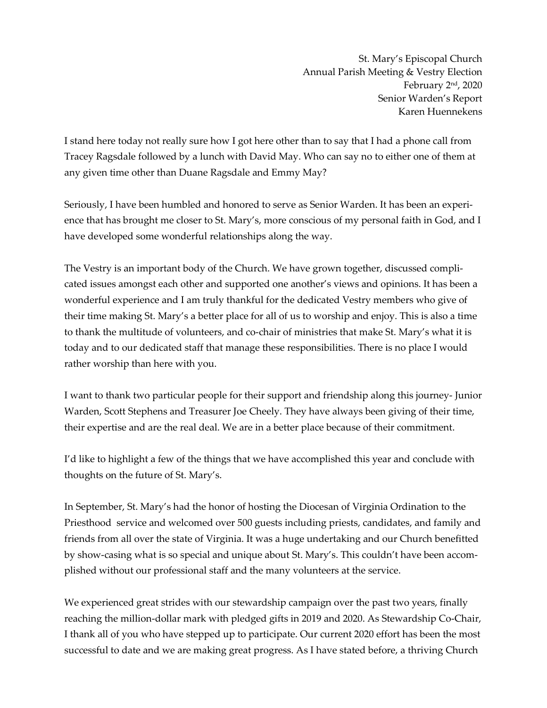St. Mary's Episcopal Church Annual Parish Meeting & Vestry Election February 2nd, 2020 Senior Warden's Report Karen Huennekens

I stand here today not really sure how I got here other than to say that I had a phone call from Tracey Ragsdale followed by a lunch with David May. Who can say no to either one of them at any given time other than Duane Ragsdale and Emmy May?

Seriously, I have been humbled and honored to serve as Senior Warden. It has been an experience that has brought me closer to St. Mary's, more conscious of my personal faith in God, and I have developed some wonderful relationships along the way.

The Vestry is an important body of the Church. We have grown together, discussed complicated issues amongst each other and supported one another's views and opinions. It has been a wonderful experience and I am truly thankful for the dedicated Vestry members who give of their time making St. Mary's a better place for all of us to worship and enjoy. This is also a time to thank the multitude of volunteers, and co-chair of ministries that make St. Mary's what it is today and to our dedicated staff that manage these responsibilities. There is no place I would rather worship than here with you.

I want to thank two particular people for their support and friendship along this journey- Junior Warden, Scott Stephens and Treasurer Joe Cheely. They have always been giving of their time, their expertise and are the real deal. We are in a better place because of their commitment.

I'd like to highlight a few of the things that we have accomplished this year and conclude with thoughts on the future of St. Mary's.

In September, St. Mary's had the honor of hosting the Diocesan of Virginia Ordination to the Priesthood service and welcomed over 500 guests including priests, candidates, and family and friends from all over the state of Virginia. It was a huge undertaking and our Church benefitted by show-casing what is so special and unique about St. Mary's. This couldn't have been accomplished without our professional staff and the many volunteers at the service.

We experienced great strides with our stewardship campaign over the past two years, finally reaching the million-dollar mark with pledged gifts in 2019 and 2020. As Stewardship Co-Chair, I thank all of you who have stepped up to participate. Our current 2020 effort has been the most successful to date and we are making great progress. As I have stated before, a thriving Church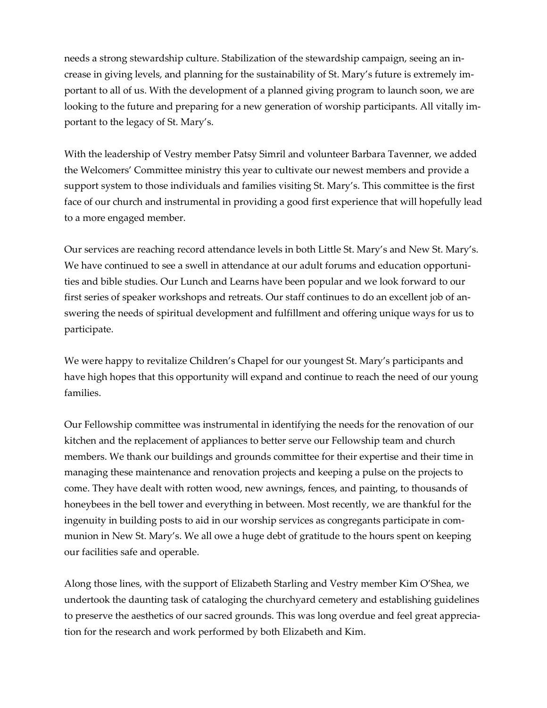needs a strong stewardship culture. Stabilization of the stewardship campaign, seeing an increase in giving levels, and planning for the sustainability of St. Mary's future is extremely important to all of us. With the development of a planned giving program to launch soon, we are looking to the future and preparing for a new generation of worship participants. All vitally important to the legacy of St. Mary's.

With the leadership of Vestry member Patsy Simril and volunteer Barbara Tavenner, we added the Welcomers' Committee ministry this year to cultivate our newest members and provide a support system to those individuals and families visiting St. Mary's. This committee is the first face of our church and instrumental in providing a good first experience that will hopefully lead to a more engaged member.

Our services are reaching record attendance levels in both Little St. Mary's and New St. Mary's. We have continued to see a swell in attendance at our adult forums and education opportunities and bible studies. Our Lunch and Learns have been popular and we look forward to our first series of speaker workshops and retreats. Our staff continues to do an excellent job of answering the needs of spiritual development and fulfillment and offering unique ways for us to participate.

We were happy to revitalize Children's Chapel for our youngest St. Mary's participants and have high hopes that this opportunity will expand and continue to reach the need of our young families.

Our Fellowship committee was instrumental in identifying the needs for the renovation of our kitchen and the replacement of appliances to better serve our Fellowship team and church members. We thank our buildings and grounds committee for their expertise and their time in managing these maintenance and renovation projects and keeping a pulse on the projects to come. They have dealt with rotten wood, new awnings, fences, and painting, to thousands of honeybees in the bell tower and everything in between. Most recently, we are thankful for the ingenuity in building posts to aid in our worship services as congregants participate in communion in New St. Mary's. We all owe a huge debt of gratitude to the hours spent on keeping our facilities safe and operable.

Along those lines, with the support of Elizabeth Starling and Vestry member Kim O'Shea, we undertook the daunting task of cataloging the churchyard cemetery and establishing guidelines to preserve the aesthetics of our sacred grounds. This was long overdue and feel great appreciation for the research and work performed by both Elizabeth and Kim.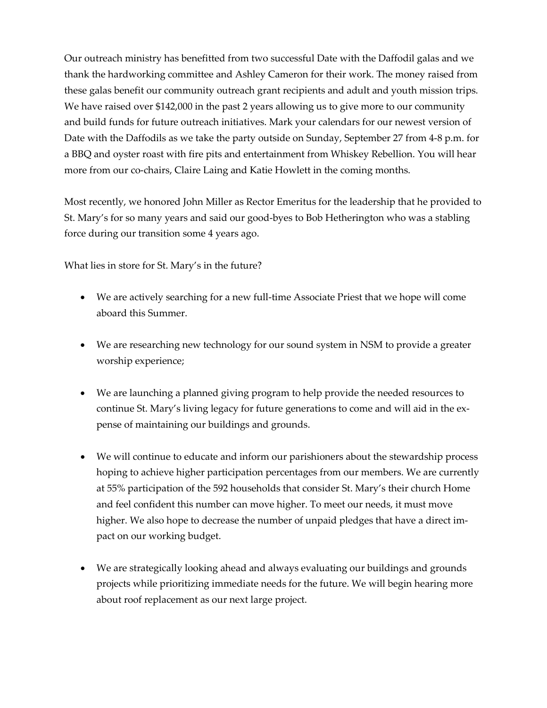Our outreach ministry has benefitted from two successful Date with the Daffodil galas and we thank the hardworking committee and Ashley Cameron for their work. The money raised from these galas benefit our community outreach grant recipients and adult and youth mission trips. We have raised over \$142,000 in the past 2 years allowing us to give more to our community and build funds for future outreach initiatives. Mark your calendars for our newest version of Date with the Daffodils as we take the party outside on Sunday, September 27 from 4-8 p.m. for a BBQ and oyster roast with fire pits and entertainment from Whiskey Rebellion. You will hear more from our co-chairs, Claire Laing and Katie Howlett in the coming months.

Most recently, we honored John Miller as Rector Emeritus for the leadership that he provided to St. Mary's for so many years and said our good-byes to Bob Hetherington who was a stabling force during our transition some 4 years ago.

What lies in store for St. Mary's in the future?

- We are actively searching for a new full-time Associate Priest that we hope will come aboard this Summer.
- We are researching new technology for our sound system in NSM to provide a greater worship experience;
- We are launching a planned giving program to help provide the needed resources to continue St. Mary's living legacy for future generations to come and will aid in the expense of maintaining our buildings and grounds.
- We will continue to educate and inform our parishioners about the stewardship process hoping to achieve higher participation percentages from our members. We are currently at 55% participation of the 592 households that consider St. Mary's their church Home and feel confident this number can move higher. To meet our needs, it must move higher. We also hope to decrease the number of unpaid pledges that have a direct impact on our working budget.
- We are strategically looking ahead and always evaluating our buildings and grounds projects while prioritizing immediate needs for the future. We will begin hearing more about roof replacement as our next large project.